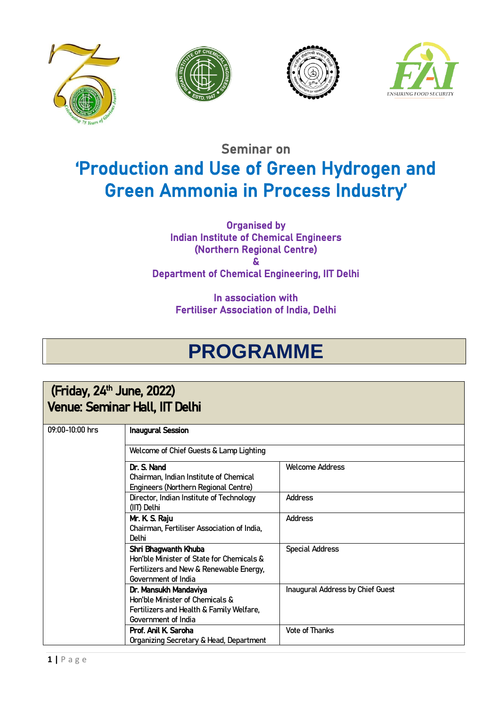







## Seminar on 'Production and Use of Green Hydrogen and Green Ammonia in Process Industry'

Organised by Indian Institute of Chemical Engineers (Northern Regional Centre) & Department of Chemical Engineering, IIT Delhi

> In association with Fertiliser Association of India, Delhi

## **PROGRAMME**

## $(Friday, 24<sup>th</sup> June, 2022)$ Venue: Seminar Hall, IIT Delhi

| 09:00-10:00 hrs | <b>Inaugural Session</b>                   |                                  |
|-----------------|--------------------------------------------|----------------------------------|
|                 | Welcome of Chief Guests & Lamp Lighting    |                                  |
|                 | Dr. S. Nand                                | Welcome Address                  |
|                 | Chairman, Indian Institute of Chemical     |                                  |
|                 | Engineers (Northern Regional Centre)       |                                  |
|                 | Director, Indian Institute of Technology   | Address                          |
|                 | (IIT) Delhi                                |                                  |
|                 | Mr. K S. Raju                              | <b>Address</b>                   |
|                 | Chairman, Fertiliser Association of India, |                                  |
|                 | <b>Delhi</b>                               |                                  |
|                 | Shri Bhagwanth Khuba                       | Special Address                  |
|                 | Hon'ble Minister of State for Chemicals &  |                                  |
|                 | Fertilizers and New & Renewable Energy,    |                                  |
|                 | Government of India                        |                                  |
|                 | Dr. Mansukh Mandaviya                      | Inaugural Address by Chief Guest |
|                 | Hon'ble Minister of Chemicals &            |                                  |
|                 | Fertilizers and Health & Family Welfare,   |                                  |
|                 | Government of India                        |                                  |
|                 | Prof. Anil K. Saroha                       | <b>Vote of Thanks</b>            |
|                 | Organizing Secretary & Head, Department    |                                  |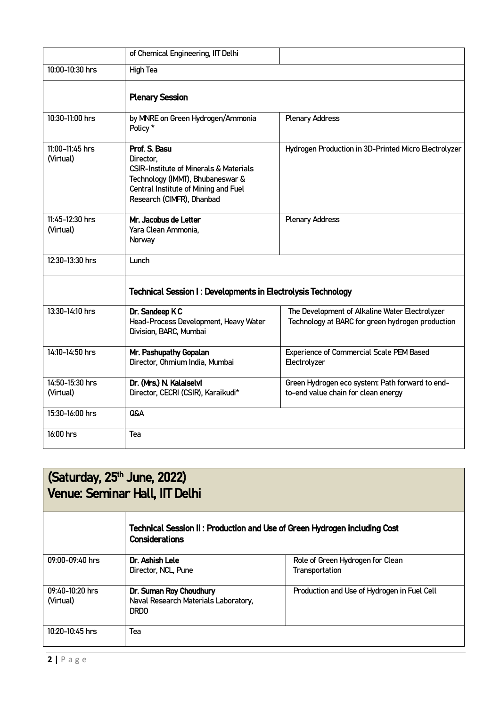|                              | of Chemical Engineering, IIT Delhi                                                                                                                                                       |                                                                                                    |  |
|------------------------------|------------------------------------------------------------------------------------------------------------------------------------------------------------------------------------------|----------------------------------------------------------------------------------------------------|--|
| 10:00-10:30 hrs              | High Tea                                                                                                                                                                                 |                                                                                                    |  |
|                              | <b>Plenary Session</b>                                                                                                                                                                   |                                                                                                    |  |
| 10:30-11:00 hrs              | by MNRE on Green Hydrogen/Ammonia<br>Policy*                                                                                                                                             | <b>Plenary Address</b>                                                                             |  |
| 11:00-11:45 hrs<br>(Virtual) | Prof. S. Basu<br>Director,<br><b>CSIR-Institute of Minerals &amp; Materials</b><br>Technology (IMMT), Bhubaneswar &<br>Central Institute of Mining and Fuel<br>Research (CIMFR), Dhanbad | Hydrogen Production in 3D-Printed Micro Electrolyzer                                               |  |
| 11:45-12:30 hrs<br>(Virtual) | Mr. Jacobus de Letter<br>Yara Clean Ammonia,<br>Norway                                                                                                                                   | <b>Plenary Address</b>                                                                             |  |
| 12:30-13:30 hrs              | Lunch                                                                                                                                                                                    |                                                                                                    |  |
|                              | Technical Session I: Developments in Electrolysis Technology                                                                                                                             |                                                                                                    |  |
| 13:30-14:10 hrs              | Dr. Sandeep KC<br>Head-Process Development, Heavy Water<br>Division, BARC, Mumbai                                                                                                        | The Development of Alkaline Water Electrolyzer<br>Technology at BARC for green hydrogen production |  |
| 14:10-14:50 hrs              | Mr. Pashupathy Gopalan<br>Director, Ohmium India, Mumbai                                                                                                                                 | <b>Experience of Commercial Scale PEM Based</b><br>Electrolyzer                                    |  |
| 14:50-15:30 hrs<br>(Virtual) | Dr. (Mrs.) N. Kalaiselvi<br>Director, CECRI (CSIR), Karaikudi*                                                                                                                           | Green Hydrogen eco system: Path forward to end-<br>to-end value chain for clean energy             |  |
| 15:30-16:00 hrs              | <b>Q&amp;A</b>                                                                                                                                                                           |                                                                                                    |  |
| 16:00 hrs                    | Tea                                                                                                                                                                                      |                                                                                                    |  |

| (Saturday, 25 <sup>th</sup> June, 2022)<br><b>Venue: Seminar Hall, IIT Delhi</b> |                                                                                                    |                                                    |  |  |
|----------------------------------------------------------------------------------|----------------------------------------------------------------------------------------------------|----------------------------------------------------|--|--|
|                                                                                  | Technical Session II: Production and Use of Green Hydrogen including Cost<br><b>Considerations</b> |                                                    |  |  |
| 09:00-09:40 hrs                                                                  | Dr. Ashish Lele<br>Director, NCL, Pune                                                             | Role of Green Hydrogen for Clean<br>Transportation |  |  |
| 09:40-10:20 hrs<br>(Virtual)                                                     | Dr. Suman Roy Choudhury<br>Naval Research Materials Laboratory,<br><b>DRDO</b>                     | Production and Use of Hydrogen in Fuel Cell        |  |  |
| $10:20 - 10:45$ hrs                                                              | Tea                                                                                                |                                                    |  |  |